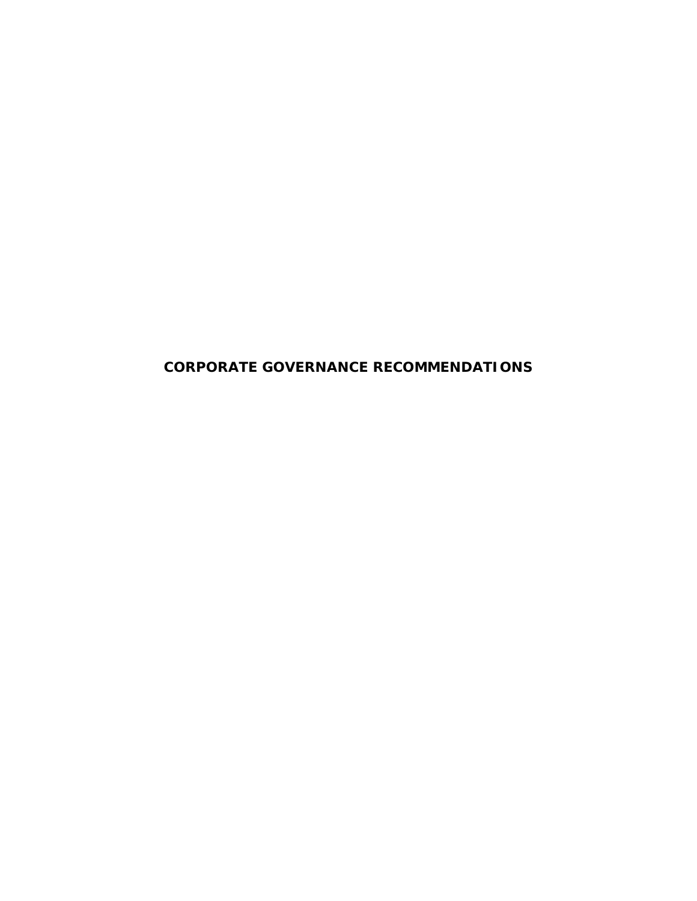**CORPORATE GOVERNANCE RECOMMENDATIONS**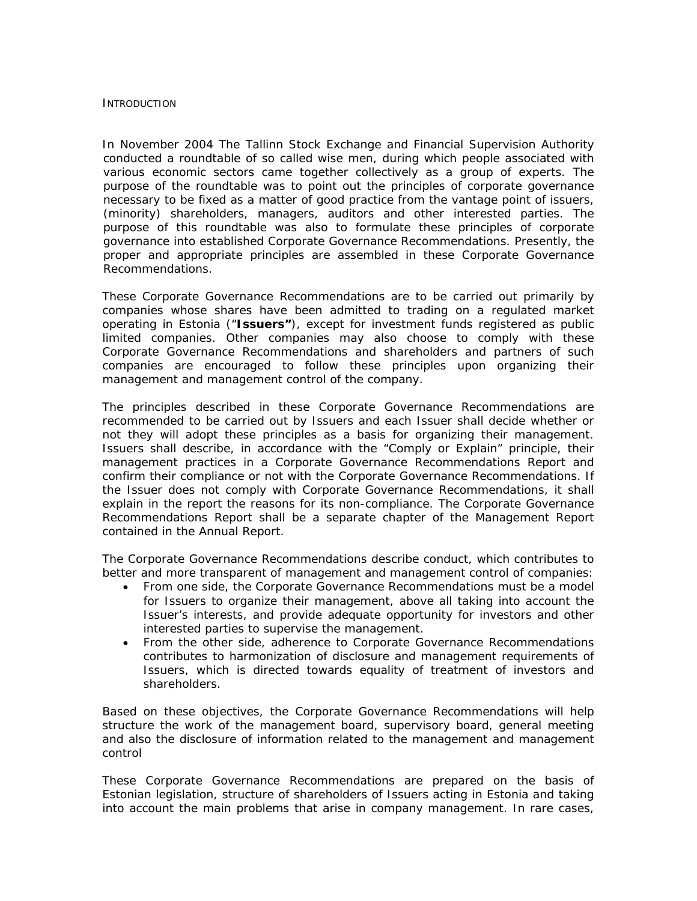#### **INTRODUCTION**

In November 2004 The Tallinn Stock Exchange and Financial Supervision Authority conducted a roundtable of so called wise men, during which people associated with various economic sectors came together collectively as a group of experts. The purpose of the roundtable was to point out the principles of corporate governance necessary to be fixed as a matter of good practice from the vantage point of issuers, (minority) shareholders, managers, auditors and other interested parties. The purpose of this roundtable was also to formulate these principles of corporate governance into established Corporate Governance Recommendations. Presently, the proper and appropriate principles are assembled in these Corporate Governance Recommendations.

These Corporate Governance Recommendations are to be carried out primarily by companies whose shares have been admitted to trading on a regulated market operating in Estonia ("**Issuers"**), except for investment funds registered as public limited companies. Other companies may also choose to comply with these Corporate Governance Recommendations and shareholders and partners of such companies are encouraged to follow these principles upon organizing their management and management control of the company.

The principles described in these Corporate Governance Recommendations are recommended to be carried out by Issuers and each Issuer shall decide whether or not they will adopt these principles as a basis for organizing their management. Issuers shall describe, in accordance with the "Comply or Explain" principle, their management practices in a Corporate Governance Recommendations Report and confirm their compliance or not with the Corporate Governance Recommendations. If the Issuer does not comply with Corporate Governance Recommendations, it shall explain in the report the reasons for its non-compliance. The Corporate Governance Recommendations Report shall be a separate chapter of the Management Report contained in the Annual Report.

The Corporate Governance Recommendations describe conduct, which contributes to better and more transparent of management and management control of companies:

- From one side, the Corporate Governance Recommendations must be a model for Issuers to organize their management, above all taking into account the Issuer's interests, and provide adequate opportunity for investors and other interested parties to supervise the management.
- From the other side, adherence to Corporate Governance Recommendations contributes to harmonization of disclosure and management requirements of Issuers, which is directed towards equality of treatment of investors and shareholders.

Based on these objectives, the Corporate Governance Recommendations will help structure the work of the management board, supervisory board, general meeting and also the disclosure of information related to the management and management control

These Corporate Governance Recommendations are prepared on the basis of Estonian legislation, structure of shareholders of Issuers acting in Estonia and taking into account the main problems that arise in company management. In rare cases,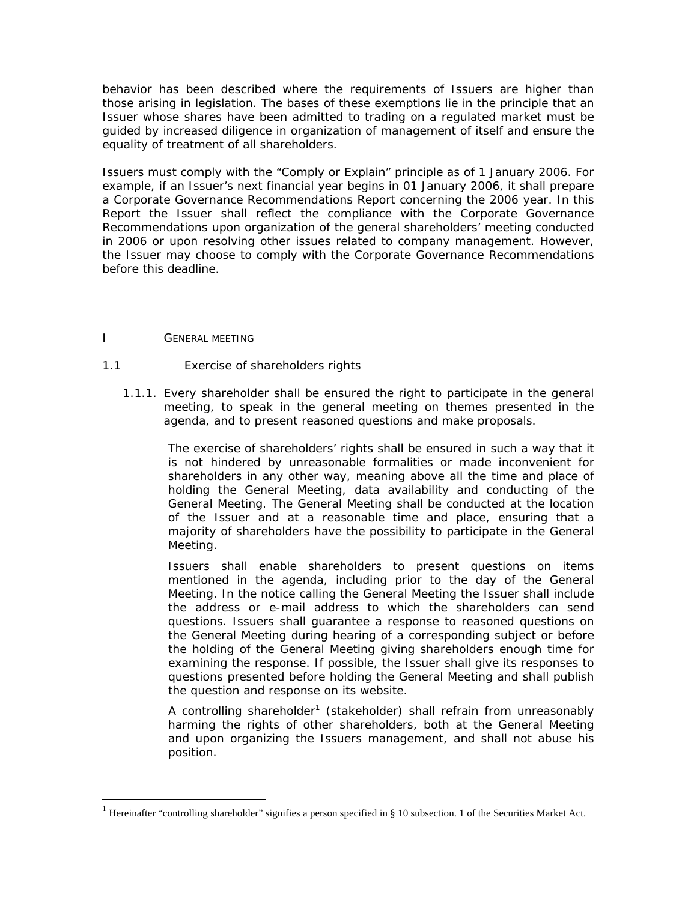behavior has been described where the requirements of Issuers are higher than those arising in legislation. The bases of these exemptions lie in the principle that an Issuer whose shares have been admitted to trading on a regulated market must be guided by increased diligence in organization of management of itself and ensure the equality of treatment of all shareholders.

Issuers must comply with the "Comply or Explain" principle as of 1 January 2006. For example, if an Issuer's next financial year begins in 01 January 2006, it shall prepare a Corporate Governance Recommendations Report concerning the 2006 year. In this Report the Issuer shall reflect the compliance with the Corporate Governance Recommendations upon organization of the general shareholders' meeting conducted in 2006 or upon resolving other issues related to company management. However, the Issuer may choose to comply with the Corporate Governance Recommendations before this deadline.

# I GENERAL MEETING

 $\overline{a}$ 

## 1.1 Exercise of shareholders rights

1.1.1. Every shareholder shall be ensured the right to participate in the general meeting, to speak in the general meeting on themes presented in the agenda, and to present reasoned questions and make proposals.

The exercise of shareholders' rights shall be ensured in such a way that it is not hindered by unreasonable formalities or made inconvenient for shareholders in any other way, meaning above all the time and place of holding the General Meeting, data availability and conducting of the General Meeting. The General Meeting shall be conducted at the location of the Issuer and at a reasonable time and place, ensuring that a majority of shareholders have the possibility to participate in the General Meeting.

Issuers shall enable shareholders to present questions on items mentioned in the agenda, including prior to the day of the General Meeting. In the notice calling the General Meeting the Issuer shall include the address or e-mail address to which the shareholders can send questions. Issuers shall guarantee a response to reasoned questions on the General Meeting during hearing of a corresponding subject or before the holding of the General Meeting giving shareholders enough time for examining the response. If possible, the Issuer shall give its responses to questions presented before holding the General Meeting and shall publish the question and response on its website.

A controlling shareholder<sup>1</sup> (stakeholder) shall refrain from unreasonably harming the rights of other shareholders, both at the General Meeting and upon organizing the Issuers management, and shall not abuse his position.

<span id="page-2-0"></span><sup>&</sup>lt;sup>1</sup> Hereinafter "controlling shareholder" signifies a person specified in § 10 subsection. 1 of the Securities Market Act.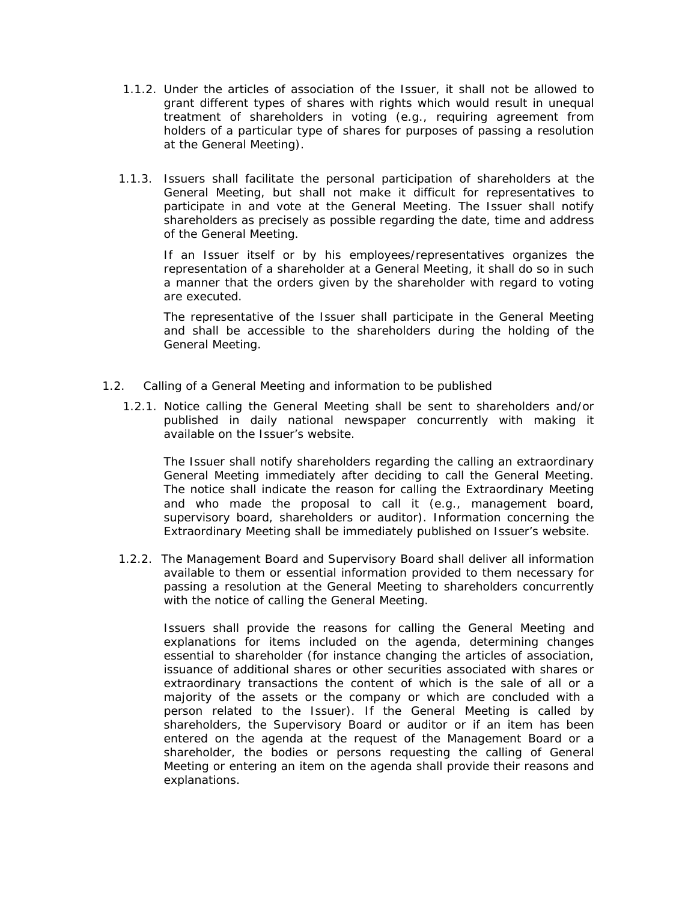- 1.1.2. Under the articles of association of the Issuer, it shall not be allowed to grant different types of shares with rights which would result in unequal treatment of shareholders in voting (e.g., requiring agreement from holders of a particular type of shares for purposes of passing a resolution at the General Meeting).
- 1.1.3. Issuers shall facilitate the personal participation of shareholders at the General Meeting, but shall not make it difficult for representatives to participate in and vote at the General Meeting. The Issuer shall notify shareholders as precisely as possible regarding the date, time and address of the General Meeting.

If an Issuer itself or by his employees/representatives organizes the representation of a shareholder at a General Meeting, it shall do so in such a manner that the orders given by the shareholder with regard to voting are executed.

The representative of the Issuer shall participate in the General Meeting and shall be accessible to the shareholders during the holding of the General Meeting.

- 1.2. Calling of a General Meeting and information to be published
	- 1.2.1. Notice calling the General Meeting shall be sent to shareholders and/or published in daily national newspaper concurrently with making it available on the Issuer's website.

The Issuer shall notify shareholders regarding the calling an extraordinary General Meeting immediately after deciding to call the General Meeting. The notice shall indicate the reason for calling the Extraordinary Meeting and who made the proposal to call it (e.g., management board, supervisory board, shareholders or auditor). Information concerning the Extraordinary Meeting shall be immediately published on Issuer's website.

1.2.2. The Management Board and Supervisory Board shall deliver all information available to them or essential information provided to them necessary for passing a resolution at the General Meeting to shareholders concurrently with the notice of calling the General Meeting.

Issuers shall provide the reasons for calling the General Meeting and explanations for items included on the agenda, determining changes essential to shareholder (for instance changing the articles of association, issuance of additional shares or other securities associated with shares or extraordinary transactions the content of which is the sale of all or a majority of the assets or the company or which are concluded with a person related to the Issuer). If the General Meeting is called by shareholders, the Supervisory Board or auditor or if an item has been entered on the agenda at the request of the Management Board or a shareholder, the bodies or persons requesting the calling of General Meeting or entering an item on the agenda shall provide their reasons and explanations.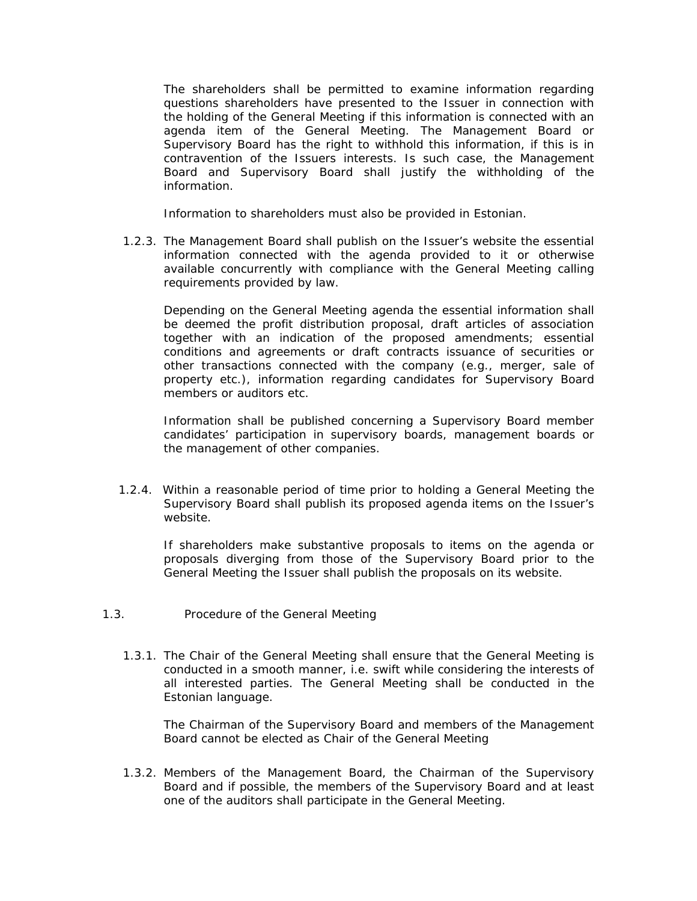The shareholders shall be permitted to examine information regarding questions shareholders have presented to the Issuer in connection with the holding of the General Meeting if this information is connected with an agenda item of the General Meeting. The Management Board or Supervisory Board has the right to withhold this information, if this is in contravention of the Issuers interests. Is such case, the Management Board and Supervisory Board shall justify the withholding of the information.

Information to shareholders must also be provided in Estonian.

1.2.3. The Management Board shall publish on the Issuer's website the essential information connected with the agenda provided to it or otherwise available concurrently with compliance with the General Meeting calling requirements provided by law.

Depending on the General Meeting agenda the essential information shall be deemed the profit distribution proposal, draft articles of association together with an indication of the proposed amendments; essential conditions and agreements or draft contracts issuance of securities or other transactions connected with the company (e.g., merger, sale of property etc.), information regarding candidates for Supervisory Board members or auditors etc.

Information shall be published concerning a Supervisory Board member candidates' participation in supervisory boards, management boards or the management of other companies.

1.2.4. Within a reasonable period of time prior to holding a General Meeting the Supervisory Board shall publish its proposed agenda items on the Issuer's website.

If shareholders make substantive proposals to items on the agenda or proposals diverging from those of the Supervisory Board prior to the General Meeting the Issuer shall publish the proposals on its website.

- 1.3. Procedure of the General Meeting
	- 1.3.1. The Chair of the General Meeting shall ensure that the General Meeting is conducted in a smooth manner, i.e. swift while considering the interests of all interested parties. The General Meeting shall be conducted in the Estonian language.

The Chairman of the Supervisory Board and members of the Management Board cannot be elected as Chair of the General Meeting

1.3.2. Members of the Management Board, the Chairman of the Supervisory Board and if possible, the members of the Supervisory Board and at least one of the auditors shall participate in the General Meeting.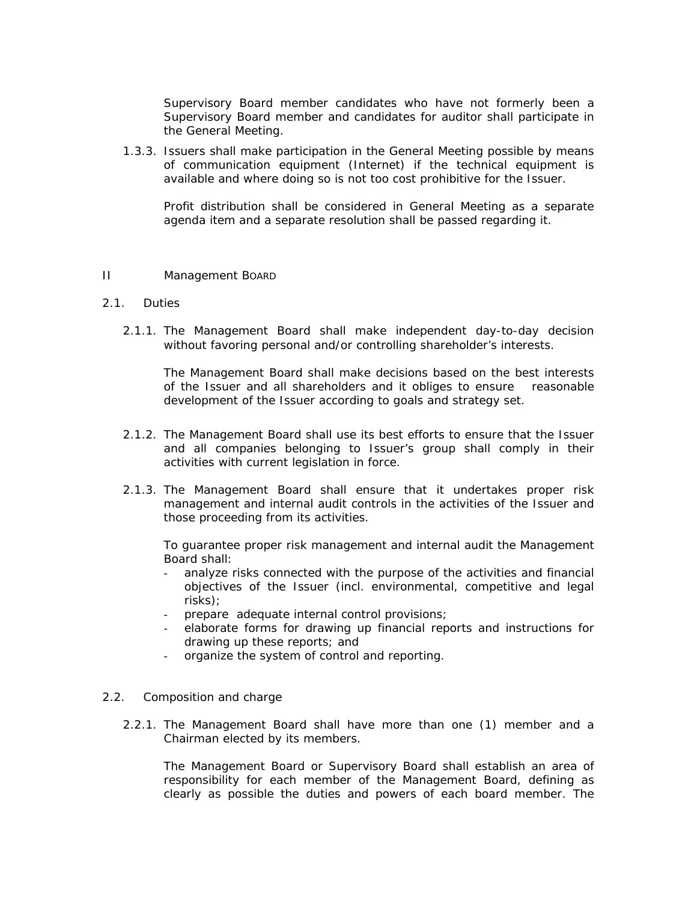Supervisory Board member candidates who have not formerly been a Supervisory Board member and candidates for auditor shall participate in the General Meeting.

1.3.3. Issuers shall make participation in the General Meeting possible by means of communication equipment (Internet) if the technical equipment is available and where doing so is not too cost prohibitive for the Issuer.

Profit distribution shall be considered in General Meeting as a separate agenda item and a separate resolution shall be passed regarding it.

### II Management BOARD

## 2.1. Duties

2.1.1. The Management Board shall make independent day-to-day decision without favoring personal and/or controlling shareholder's interests.

The Management Board shall make decisions based on the best interests of the Issuer and all shareholders and it obliges to ensure reasonable development of the Issuer according to goals and strategy set.

- 2.1.2. The Management Board shall use its best efforts to ensure that the Issuer and all companies belonging to Issuer's group shall comply in their activities with current legislation in force.
- 2.1.3. The Management Board shall ensure that it undertakes proper risk management and internal audit controls in the activities of the Issuer and those proceeding from its activities.

To guarantee proper risk management and internal audit the Management Board shall:

- analyze risks connected with the purpose of the activities and financial objectives of the Issuer (incl. environmental, competitive and legal risks);
- prepare adequate internal control provisions;
- elaborate forms for drawing up financial reports and instructions for drawing up these reports; and
- organize the system of control and reporting.

### 2.2. Composition and charge

2.2.1. The Management Board shall have more than one (1) member and a Chairman elected by its members.

The Management Board or Supervisory Board shall establish an area of responsibility for each member of the Management Board, defining as clearly as possible the duties and powers of each board member. The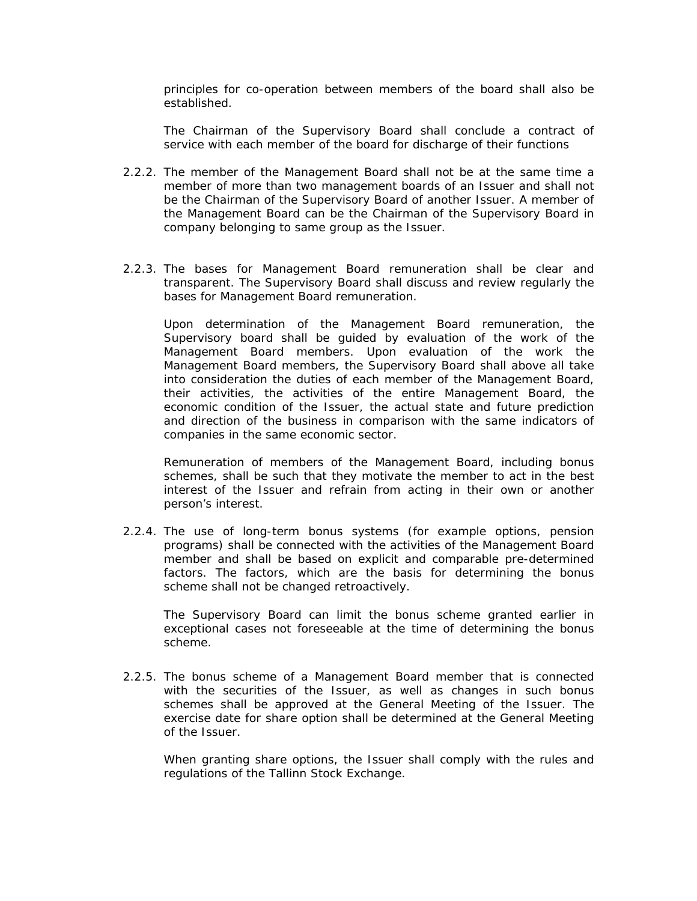principles for co-operation between members of the board shall also be established.

The Chairman of the Supervisory Board shall conclude a contract of service with each member of the board for discharge of their functions

- 2.2.2. The member of the Management Board shall not be at the same time a member of more than two management boards of an Issuer and shall not be the Chairman of the Supervisory Board of another Issuer. A member of the Management Board can be the Chairman of the Supervisory Board in company belonging to same group as the Issuer.
- 2.2.3. The bases for Management Board remuneration shall be clear and transparent. The Supervisory Board shall discuss and review regularly the bases for Management Board remuneration.

Upon determination of the Management Board remuneration, the Supervisory board shall be guided by evaluation of the work of the Management Board members. Upon evaluation of the work the Management Board members, the Supervisory Board shall above all take into consideration the duties of each member of the Management Board, their activities, the activities of the entire Management Board, the economic condition of the Issuer, the actual state and future prediction and direction of the business in comparison with the same indicators of companies in the same economic sector.

Remuneration of members of the Management Board, including bonus schemes, shall be such that they motivate the member to act in the best interest of the Issuer and refrain from acting in their own or another person's interest.

2.2.4. The use of long-term bonus systems (for example options, pension programs) shall be connected with the activities of the Management Board member and shall be based on explicit and comparable pre-determined factors. The factors, which are the basis for determining the bonus scheme shall not be changed retroactively.

The Supervisory Board can limit the bonus scheme granted earlier in exceptional cases not foreseeable at the time of determining the bonus scheme.

2.2.5. The bonus scheme of a Management Board member that is connected with the securities of the Issuer, as well as changes in such bonus schemes shall be approved at the General Meeting of the Issuer. The exercise date for share option shall be determined at the General Meeting of the Issuer.

When granting share options, the Issuer shall comply with the rules and regulations of the Tallinn Stock Exchange.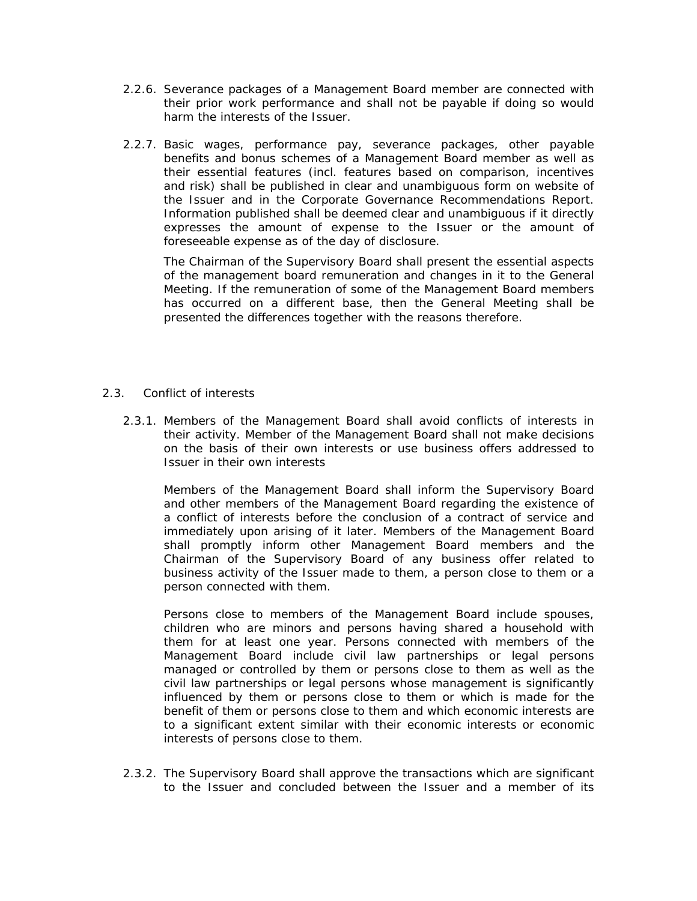- 2.2.6. Severance packages of a Management Board member are connected with their prior work performance and shall not be payable if doing so would harm the interests of the Issuer.
- 2.2.7. Basic wages, performance pay, severance packages, other payable benefits and bonus schemes of a Management Board member as well as their essential features (incl. features based on comparison, incentives and risk) shall be published in clear and unambiguous form on website of the Issuer and in the Corporate Governance Recommendations Report. Information published shall be deemed clear and unambiguous if it directly expresses the amount of expense to the Issuer or the amount of foreseeable expense as of the day of disclosure.

The Chairman of the Supervisory Board shall present the essential aspects of the management board remuneration and changes in it to the General Meeting. If the remuneration of some of the Management Board members has occurred on a different base, then the General Meeting shall be presented the differences together with the reasons therefore.

- 2.3. Conflict of interests
	- 2.3.1. Members of the Management Board shall avoid conflicts of interests in their activity. Member of the Management Board shall not make decisions on the basis of their own interests or use business offers addressed to Issuer in their own interests

Members of the Management Board shall inform the Supervisory Board and other members of the Management Board regarding the existence of a conflict of interests before the conclusion of a contract of service and immediately upon arising of it later. Members of the Management Board shall promptly inform other Management Board members and the Chairman of the Supervisory Board of any business offer related to business activity of the Issuer made to them, a person close to them or a person connected with them.

Persons close to members of the Management Board include spouses, children who are minors and persons having shared a household with them for at least one year. Persons connected with members of the Management Board include civil law partnerships or legal persons managed or controlled by them or persons close to them as well as the civil law partnerships or legal persons whose management is significantly influenced by them or persons close to them or which is made for the benefit of them or persons close to them and which economic interests are to a significant extent similar with their economic interests or economic interests of persons close to them.

2.3.2. The Supervisory Board shall approve the transactions which are significant to the Issuer and concluded between the Issuer and a member of its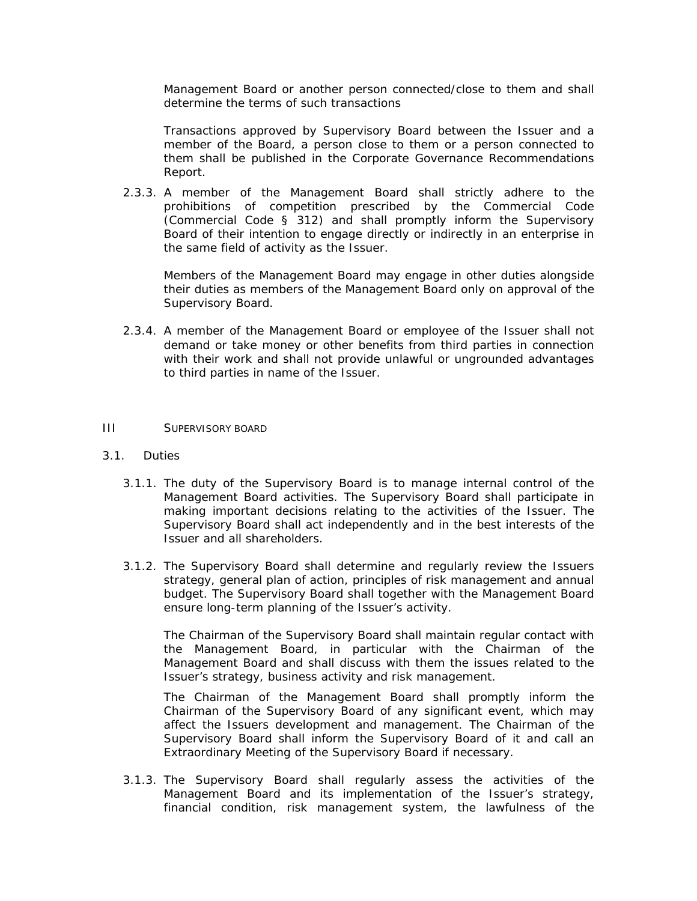Management Board or another person connected/close to them and shall determine the terms of such transactions

Transactions approved by Supervisory Board between the Issuer and a member of the Board, a person close to them or a person connected to them shall be published in the Corporate Governance Recommendations Report.

2.3.3. A member of the Management Board shall strictly adhere to the prohibitions of competition prescribed by the Commercial Code (*Commercial Code § 312)* and shall promptly inform the Supervisory Board of their intention to engage directly or indirectly in an enterprise in the same field of activity as the Issuer.

Members of the Management Board may engage in other duties alongside their duties as members of the Management Board only on approval of the Supervisory Board.

2.3.4. A member of the Management Board or employee of the Issuer shall not demand or take money or other benefits from third parties in connection with their work and shall not provide unlawful or ungrounded advantages to third parties in name of the Issuer.

### III SUPERVISORY BOARD

- 3.1. Duties
	- 3.1.1. The duty of the Supervisory Board is to manage internal control of the Management Board activities. The Supervisory Board shall participate in making important decisions relating to the activities of the Issuer. The Supervisory Board shall act independently and in the best interests of the Issuer and all shareholders.
	- 3.1.2. The Supervisory Board shall determine and regularly review the Issuers strategy, general plan of action, principles of risk management and annual budget. The Supervisory Board shall together with the Management Board ensure long-term planning of the Issuer's activity.

The Chairman of the Supervisory Board shall maintain regular contact with the Management Board, in particular with the Chairman of the Management Board and shall discuss with them the issues related to the Issuer's strategy, business activity and risk management.

The Chairman of the Management Board shall promptly inform the Chairman of the Supervisory Board of any significant event, which may affect the Issuers development and management. The Chairman of the Supervisory Board shall inform the Supervisory Board of it and call an Extraordinary Meeting of the Supervisory Board if necessary.

3.1.3. The Supervisory Board shall regularly assess the activities of the Management Board and its implementation of the Issuer's strategy, financial condition, risk management system, the lawfulness of the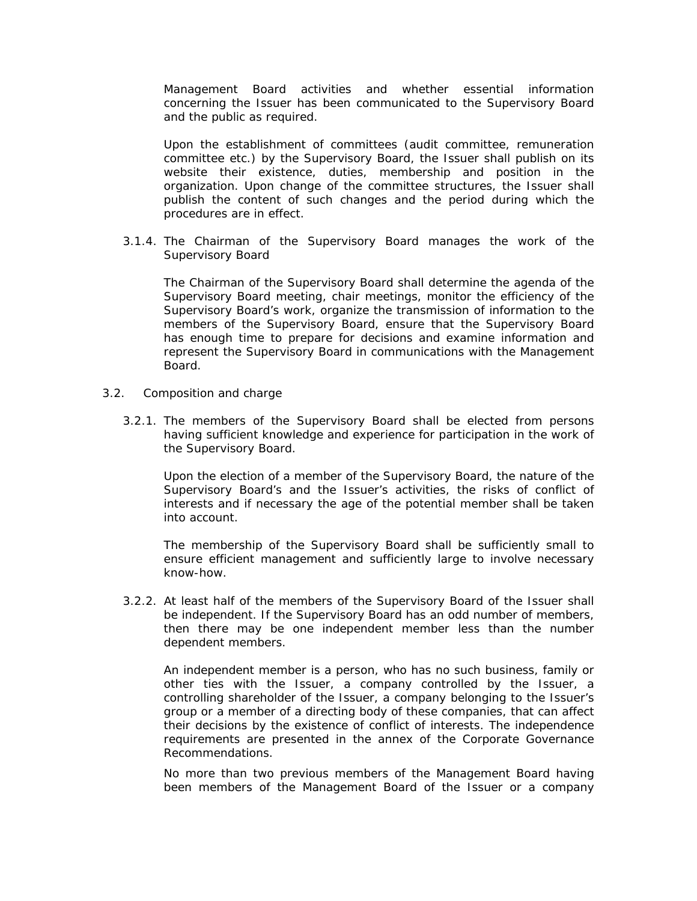Management Board activities and whether essential information concerning the Issuer has been communicated to the Supervisory Board and the public as required.

Upon the establishment of committees (audit committee, remuneration committee etc.) by the Supervisory Board, the Issuer shall publish on its website their existence, duties, membership and position in the organization. Upon change of the committee structures, the Issuer shall publish the content of such changes and the period during which the procedures are in effect.

3.1.4. The Chairman of the Supervisory Board manages the work of the Supervisory Board

The Chairman of the Supervisory Board shall determine the agenda of the Supervisory Board meeting, chair meetings, monitor the efficiency of the Supervisory Board's work, organize the transmission of information to the members of the Supervisory Board, ensure that the Supervisory Board has enough time to prepare for decisions and examine information and represent the Supervisory Board in communications with the Management Board.

- 3.2. Composition and charge
	- 3.2.1. The members of the Supervisory Board shall be elected from persons having sufficient knowledge and experience for participation in the work of the Supervisory Board.

Upon the election of a member of the Supervisory Board, the nature of the Supervisory Board's and the Issuer's activities, the risks of conflict of interests and if necessary the age of the potential member shall be taken into account.

The membership of the Supervisory Board shall be sufficiently small to ensure efficient management and sufficiently large to involve necessary know-how.

3.2.2. At least half of the members of the Supervisory Board of the Issuer shall be independent. If the Supervisory Board has an odd number of members, then there may be one independent member less than the number dependent members.

An independent member is a person, who has no such business, family or other ties with the Issuer, a company controlled by the Issuer, a controlling shareholder of the Issuer, a company belonging to the Issuer's group or a member of a directing body of these companies, that can affect their decisions by the existence of conflict of interests. The independence requirements are presented in the annex of the Corporate Governance Recommendations.

No more than two previous members of the Management Board having been members of the Management Board of the Issuer or a company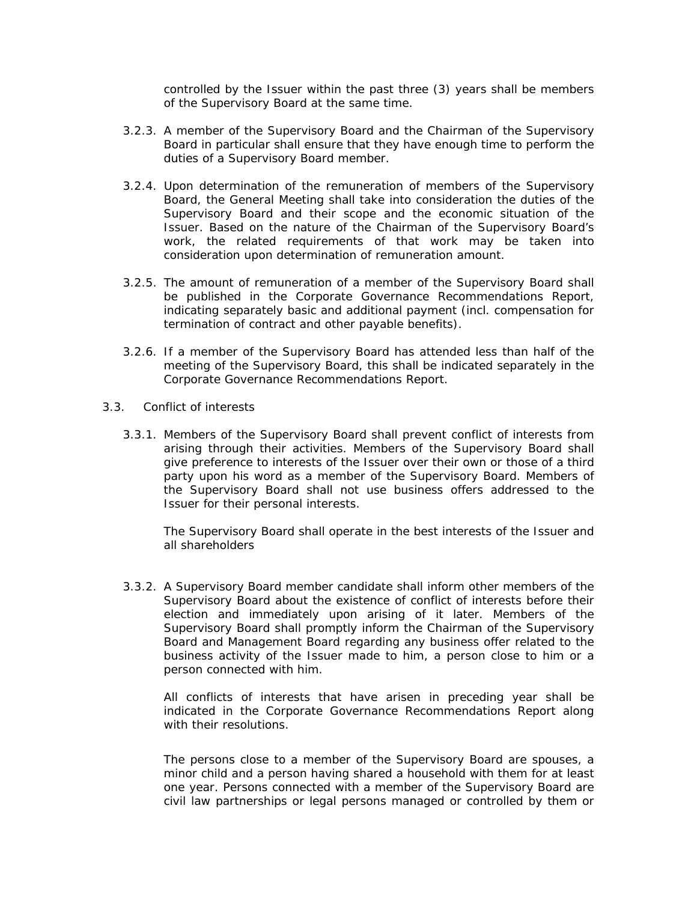controlled by the Issuer within the past three (3) years shall be members of the Supervisory Board at the same time.

- 3.2.3. A member of the Supervisory Board and the Chairman of the Supervisory Board in particular shall ensure that they have enough time to perform the duties of a Supervisory Board member.
- 3.2.4. Upon determination of the remuneration of members of the Supervisory Board, the General Meeting shall take into consideration the duties of the Supervisory Board and their scope and the economic situation of the Issuer. Based on the nature of the Chairman of the Supervisory Board's work, the related requirements of that work may be taken into consideration upon determination of remuneration amount.
- 3.2.5. The amount of remuneration of a member of the Supervisory Board shall be published in the Corporate Governance Recommendations Report, indicating separately basic and additional payment (incl. compensation for termination of contract and other payable benefits).
- 3.2.6. If a member of the Supervisory Board has attended less than half of the meeting of the Supervisory Board, this shall be indicated separately in the Corporate Governance Recommendations Report.
- 3.3. Conflict of interests
	- 3.3.1. Members of the Supervisory Board shall prevent conflict of interests from arising through their activities. Members of the Supervisory Board shall give preference to interests of the Issuer over their own or those of a third party upon his word as a member of the Supervisory Board. Members of the Supervisory Board shall not use business offers addressed to the Issuer for their personal interests.

The Supervisory Board shall operate in the best interests of the Issuer and all shareholders

3.3.2. A Supervisory Board member candidate shall inform other members of the Supervisory Board about the existence of conflict of interests before their election and immediately upon arising of it later. Members of the Supervisory Board shall promptly inform the Chairman of the Supervisory Board and Management Board regarding any business offer related to the business activity of the Issuer made to him, a person close to him or a person connected with him.

All conflicts of interests that have arisen in preceding year shall be indicated in the Corporate Governance Recommendations Report along with their resolutions.

The persons close to a member of the Supervisory Board are spouses, a minor child and a person having shared a household with them for at least one year. Persons connected with a member of the Supervisory Board are civil law partnerships or legal persons managed or controlled by them or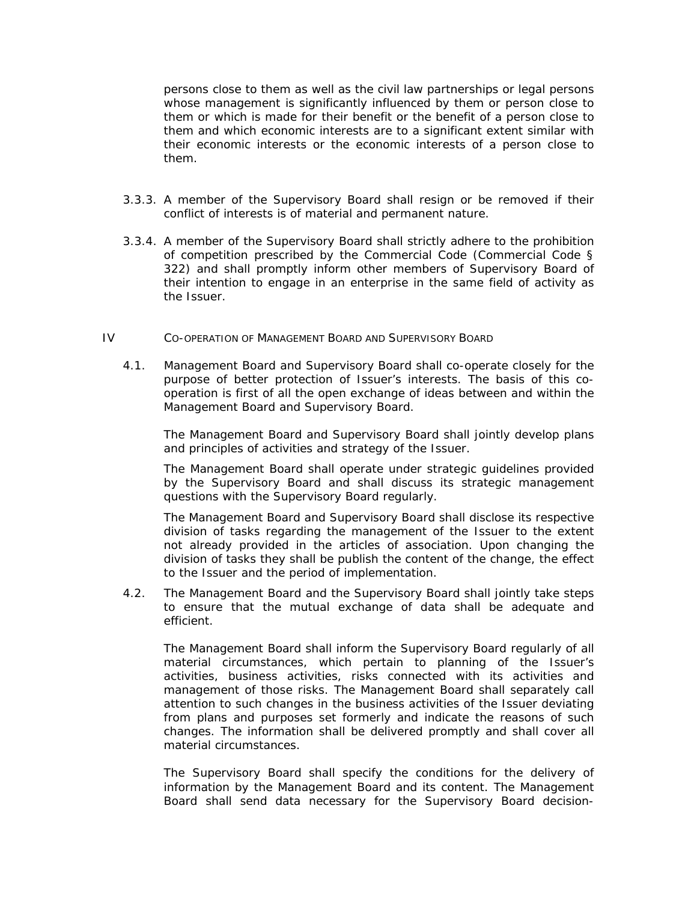persons close to them as well as the civil law partnerships or legal persons whose management is significantly influenced by them or person close to them or which is made for their benefit or the benefit of a person close to them and which economic interests are to a significant extent similar with their economic interests or the economic interests of a person close to them.

- 3.3.3. A member of the Supervisory Board shall resign or be removed if their conflict of interests is of material and permanent nature.
- 3.3.4. A member of the Supervisory Board shall strictly adhere to the prohibition of competition prescribed by the Commercial Code (*Commercial Code § 322)* and shall promptly inform other members of Supervisory Board of their intention to engage in an enterprise in the same field of activity as the Issuer.

### IV CO-OPERATION OF MANAGEMENT BOARD AND SUPERVISORY BOARD

4.1. Management Board and Supervisory Board shall co-operate closely for the purpose of better protection of Issuer's interests. The basis of this cooperation is first of all the open exchange of ideas between and within the Management Board and Supervisory Board.

The Management Board and Supervisory Board shall jointly develop plans and principles of activities and strategy of the Issuer.

The Management Board shall operate under strategic guidelines provided by the Supervisory Board and shall discuss its strategic management questions with the Supervisory Board regularly.

The Management Board and Supervisory Board shall disclose its respective division of tasks regarding the management of the Issuer to the extent not already provided in the articles of association. Upon changing the division of tasks they shall be publish the content of the change, the effect to the Issuer and the period of implementation.

4.2. The Management Board and the Supervisory Board shall jointly take steps to ensure that the mutual exchange of data shall be adequate and efficient.

The Management Board shall inform the Supervisory Board regularly of all material circumstances, which pertain to planning of the Issuer's activities, business activities, risks connected with its activities and management of those risks. The Management Board shall separately call attention to such changes in the business activities of the Issuer deviating from plans and purposes set formerly and indicate the reasons of such changes. The information shall be delivered promptly and shall cover all material circumstances.

The Supervisory Board shall specify the conditions for the delivery of information by the Management Board and its content. The Management Board shall send data necessary for the Supervisory Board decision-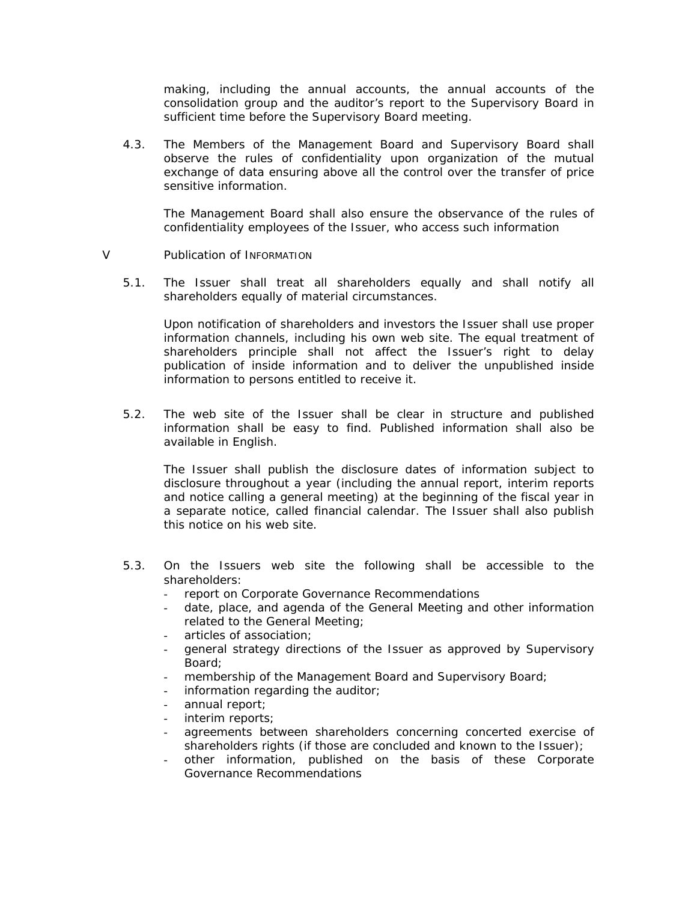making, including the annual accounts, the annual accounts of the consolidation group and the auditor's report to the Supervisory Board in sufficient time before the Supervisory Board meeting.

4.3. The Members of the Management Board and Supervisory Board shall observe the rules of confidentiality upon organization of the mutual exchange of data ensuring above all the control over the transfer of price sensitive information.

The Management Board shall also ensure the observance of the rules of confidentiality employees of the Issuer, who access such information

- V Publication of INFORMATION
	- 5.1. The Issuer shall treat all shareholders equally and shall notify all shareholders equally of material circumstances.

Upon notification of shareholders and investors the Issuer shall use proper information channels, including his own web site. The equal treatment of shareholders principle shall not affect the Issuer's right to delay publication of inside information and to deliver the unpublished inside information to persons entitled to receive it.

5.2. The web site of the Issuer shall be clear in structure and published information shall be easy to find. Published information shall also be available in English.

The Issuer shall publish the disclosure dates of information subject to disclosure throughout a year (including the annual report, interim reports and notice calling a general meeting) at the beginning of the fiscal year in a separate notice, called financial calendar. The Issuer shall also publish this notice on his web site.

- 5.3. On the Issuers web site the following shall be accessible to the shareholders:
	- report on Corporate Governance Recommendations
	- date, place, and agenda of the General Meeting and other information related to the General Meeting;
	- articles of association;
	- general strategy directions of the Issuer as approved by Supervisory Board;
	- membership of the Management Board and Supervisory Board;
	- information regarding the auditor;
	- annual report;
	- interim reports;
	- agreements between shareholders concerning concerted exercise of shareholders rights (if those are concluded and known to the Issuer);
	- other information, published on the basis of these Corporate Governance Recommendations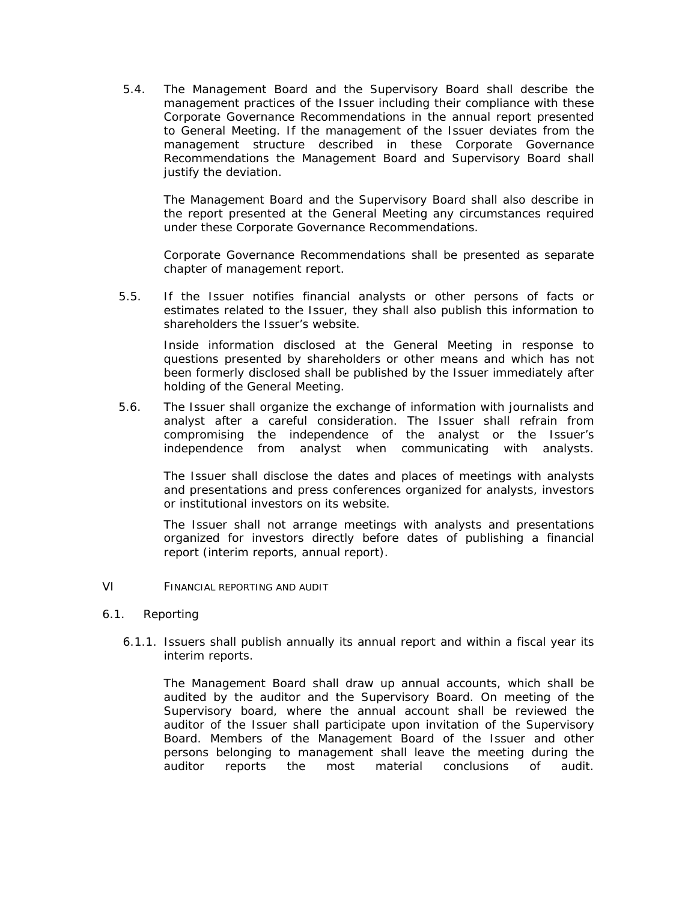5.4. The Management Board and the Supervisory Board shall describe the management practices of the Issuer including their compliance with these Corporate Governance Recommendations in the annual report presented to General Meeting. If the management of the Issuer deviates from the management structure described in these Corporate Governance Recommendations the Management Board and Supervisory Board shall justify the deviation.

 The Management Board and the Supervisory Board shall also describe in the report presented at the General Meeting any circumstances required under these Corporate Governance Recommendations.

Corporate Governance Recommendations shall be presented as separate chapter of management report.

5.5. If the Issuer notifies financial analysts or other persons of facts or estimates related to the Issuer, they shall also publish this information to shareholders the Issuer's website.

 Inside information disclosed at the General Meeting in response to questions presented by shareholders or other means and which has not been formerly disclosed shall be published by the Issuer immediately after holding of the General Meeting.

5.6. The Issuer shall organize the exchange of information with journalists and analyst after a careful consideration. The Issuer shall refrain from compromising the independence of the analyst or the Issuer's independence from analyst when communicating with analysts.

The Issuer shall disclose the dates and places of meetings with analysts and presentations and press conferences organized for analysts, investors or institutional investors on its website.

The Issuer shall not arrange meetings with analysts and presentations organized for investors directly before dates of publishing a financial report (interim reports, annual report).

- VI FINANCIAL REPORTING AND AUDIT
- 6.1. Reporting
	- 6.1.1. Issuers shall publish annually its annual report and within a fiscal year its interim reports.

The Management Board shall draw up annual accounts, which shall be audited by the auditor and the Supervisory Board. On meeting of the Supervisory board, where the annual account shall be reviewed the auditor of the Issuer shall participate upon invitation of the Supervisory Board. Members of the Management Board of the Issuer and other persons belonging to management shall leave the meeting during the auditor reports the most material conclusions of audit.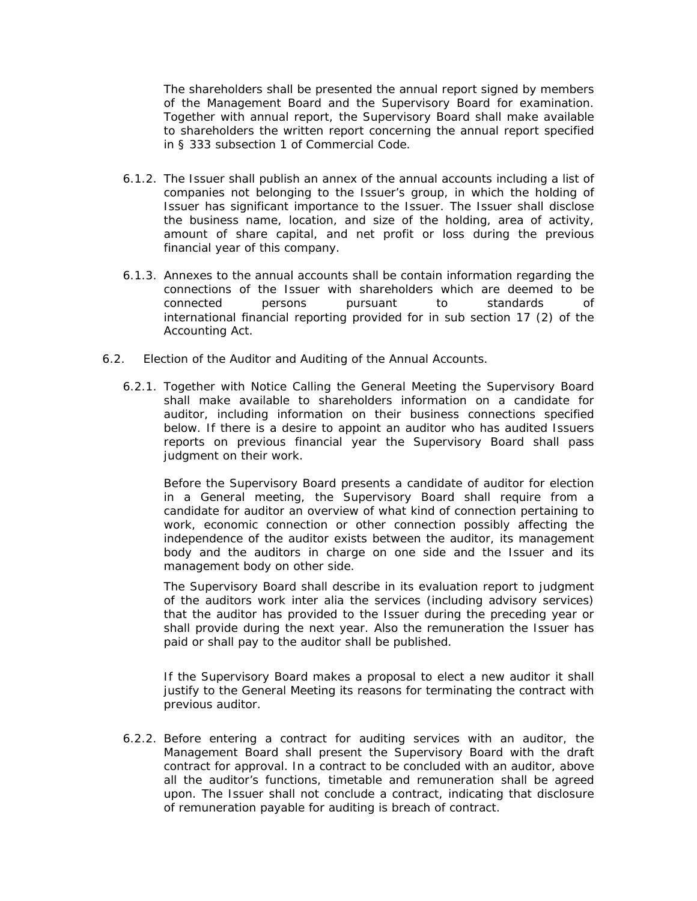The shareholders shall be presented the annual report signed by members of the Management Board and the Supervisory Board for examination. Together with annual report, the Supervisory Board shall make available to shareholders the written report concerning the annual report specified in § 333 subsection 1 of Commercial Code.

- 6.1.2. The Issuer shall publish an annex of the annual accounts including a list of companies not belonging to the Issuer's group, in which the holding of Issuer has significant importance to the Issuer. The Issuer shall disclose the business name, location, and size of the holding, area of activity, amount of share capital, and net profit or loss during the previous financial year of this company.
- 6.1.3. Annexes to the annual accounts shall be contain information regarding the connections of the Issuer with shareholders which are deemed to be connected persons pursuant to standards of international financial reporting provided for in sub section 17 (2) of the Accounting Act.
- 6.2. Election of the Auditor and Auditing of the Annual Accounts.
	- 6.2.1. Together with Notice Calling the General Meeting the Supervisory Board shall make available to shareholders information on a candidate for auditor, including information on their business connections specified below. If there is a desire to appoint an auditor who has audited Issuers reports on previous financial year the Supervisory Board shall pass judgment on their work.

Before the Supervisory Board presents a candidate of auditor for election in a General meeting, the Supervisory Board shall require from a candidate for auditor an overview of what kind of connection pertaining to work, economic connection or other connection possibly affecting the independence of the auditor exists between the auditor, its management body and the auditors in charge on one side and the Issuer and its management body on other side.

The Supervisory Board shall describe in its evaluation report to judgment of the auditors work *inter alia* the services (including advisory services) that the auditor has provided to the Issuer during the preceding year or shall provide during the next year. Also the remuneration the Issuer has paid or shall pay to the auditor shall be published.

If the Supervisory Board makes a proposal to elect a new auditor it shall justify to the General Meeting its reasons for terminating the contract with previous auditor.

6.2.2. Before entering a contract for auditing services with an auditor, the Management Board shall present the Supervisory Board with the draft contract for approval. In a contract to be concluded with an auditor, above all the auditor's functions, timetable and remuneration shall be agreed upon. The Issuer shall not conclude a contract, indicating that disclosure of remuneration payable for auditing is breach of contract.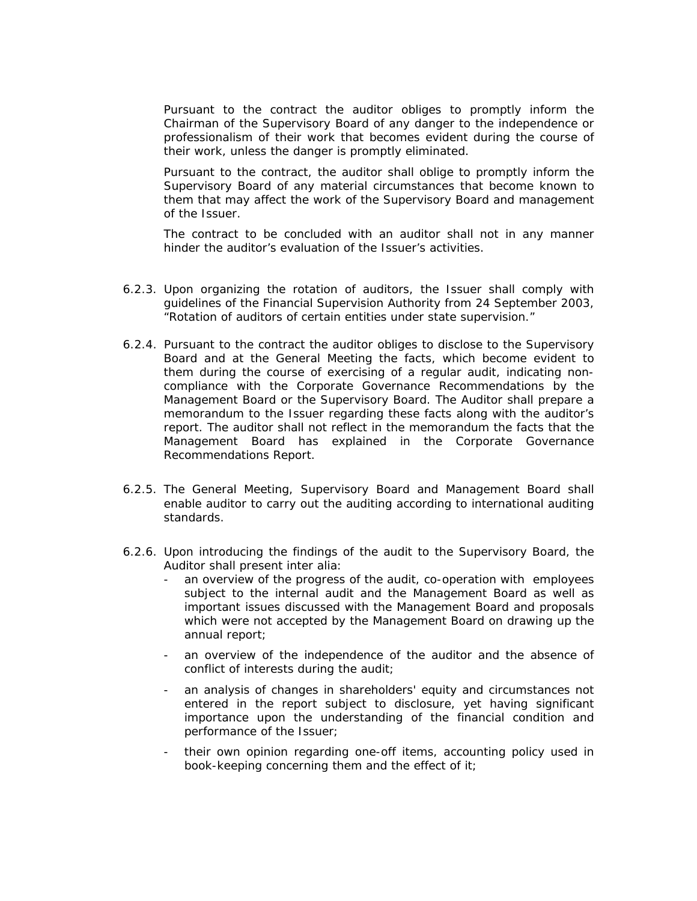Pursuant to the contract the auditor obliges to promptly inform the Chairman of the Supervisory Board of any danger to the independence or professionalism of their work that becomes evident during the course of their work, unless the danger is promptly eliminated.

Pursuant to the contract, the auditor shall oblige to promptly inform the Supervisory Board of any material circumstances that become known to them that may affect the work of the Supervisory Board and management of the Issuer.

The contract to be concluded with an auditor shall not in any manner hinder the auditor's evaluation of the Issuer's activities.

- 6.2.3. Upon organizing the rotation of auditors, the Issuer shall comply with guidelines of the Financial Supervision Authority from 24 September 2003, "Rotation of auditors of certain entities under state supervision."
- 6.2.4. Pursuant to the contract the auditor obliges to disclose to the Supervisory Board and at the General Meeting the facts, which become evident to them during the course of exercising of a regular audit, indicating noncompliance with the Corporate Governance Recommendations by the Management Board or the Supervisory Board. The Auditor shall prepare a memorandum to the Issuer regarding these facts along with the auditor's report. The auditor shall not reflect in the memorandum the facts that the Management Board has explained in the Corporate Governance Recommendations Report.
- 6.2.5. The General Meeting, Supervisory Board and Management Board shall enable auditor to carry out the auditing according to international auditing standards.
- 6.2.6. Upon introducing the findings of the audit to the Supervisory Board, the Auditor shall present *inter alia*:
	- an overview of the progress of the audit, co-operation with employees subject to the internal audit and the Management Board as well as important issues discussed with the Management Board and proposals which were not accepted by the Management Board on drawing up the annual report;
	- an overview of the independence of the auditor and the absence of conflict of interests during the audit;
	- an analysis of changes in shareholders' equity and circumstances not entered in the report subject to disclosure, yet having significant importance upon the understanding of the financial condition and performance of the Issuer;
	- their own opinion regarding one-off items, accounting policy used in book-keeping concerning them and the effect of it;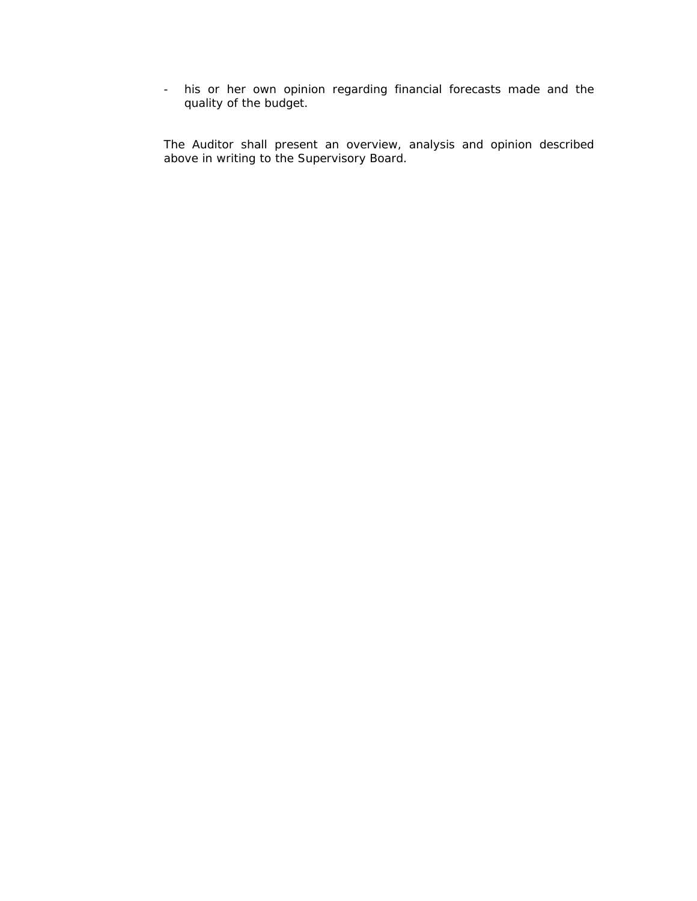- his or her own opinion regarding financial forecasts made and the quality of the budget.

The Auditor shall present an overview, analysis and opinion described above in writing to the Supervisory Board.